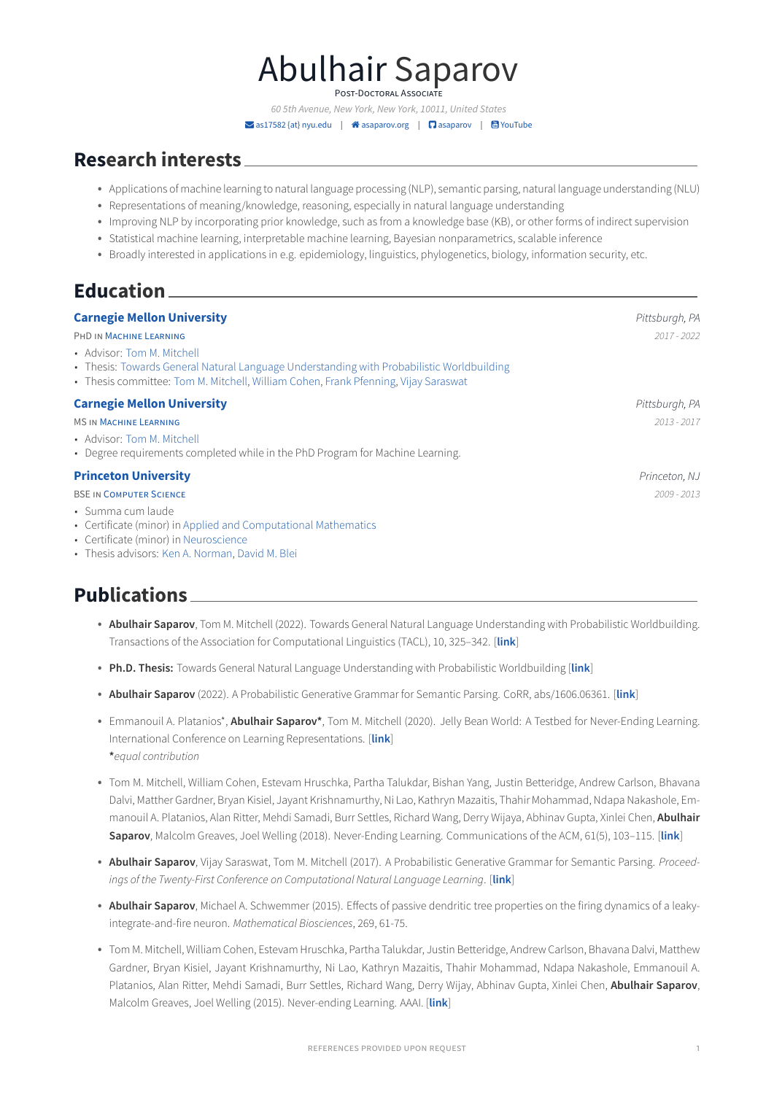# Abulhair Saparov

POST-DOCTORAL ASSOCIATE

60 5th Avenue, New York, New York, 10011, United States � [as17582 {at} nyu.edu](mailto:as17582 \{at\} nyu.edu) | � [asaparov.org](http://asaparov.org) | � [asaparov](https://github.com/asaparov) | � [YouTube](https://www.youtube.com/channel/UC3IXpkDpzturFkkvGJ-HeMg/videos)

### **Research interests**

- Applications of machine learning to natural language processing (NLP), semantic parsing, natural language understanding (NLU)
- Representations of meaning/knowledge, reasoning, especially in natural language understanding
- Improving NLP by incorporating prior knowledge, such as from a knowledge base (KB), or other forms of indirect supervision
- Statistical machine learning, interpretable machine learning, Bayesian nonparametrics, scalable inference
- Broadly interested in applications in e.g. epidemiology, linguistics, phylogenetics, biology, information security, etc.

### **Education**

### **[Carnegie Mellon University](http://www.cmu.edu/) Pittsburgh, PA 2007 19:30 Pittsburgh, PA 2007 19:30 Pittsburgh, PA 2007 19:30 Pittsburgh, PA** PHD IN [MACHINE LEARNING](http://www.ml.cmu.edu/) 2017 - 2022 • Advisor: [Tom M. Mitchell](http://www.cs.cmu.edu/~tom/) • Thesis: [Towards General Natural Language Understanding with Probabilistic Worldbuilding](https://asaparov.org/assets/thesis.pdf) • Thesis committee: [Tom M. Mitchell,](http://www.cs.cmu.edu/~tom/) [William Cohen,](http://www.cs.cmu.edu/~wcohen/) [Frank Pfenning,](https://www.cs.cmu.edu/~fp/) [Vijay Saraswat](http://www.saraswat.org/) **[Carnegie Mellon University](http://www.cmu.edu/) Pittsburgh, PA** MS IN [MACHINE LEARNING](http://www.ml.cmu.edu/) 2013 - 2017 • Advisor: [Tom M. Mitchell](http://www.cs.cmu.edu/~tom/) • Degree requirements completed while in the PhD Program for Machine Learning. **[Princeton University](http://www.princeton.edu/main/) Princeton, NJ** BSE IN [COMPUTER SCIENCE](https://www.cs.princeton.edu/) 2009 - 2013 • Summa cum laude • Certificate (minor) in [Applied and Computational Mathematics](https://www.pacm.princeton.edu/undergraduate)

- Certificate (minor) in [Neuroscience](https://pni.princeton.edu/education/undergraduate-certificate)
- Thesis advisors: [Ken A. Norman,](https://pni.princeton.edu/faculty/kenneth-norman) [David M. Blei](http://www.cs.columbia.edu/~blei/)

### **Publications**

- **Abulhair Saparov**, Tom M. Mitchell (2022). Towards General Natural Language Understanding with Probabilistic Worldbuilding. Transactions of the Association for Computational Linguistics (TACL), 10, 325–342. [**[link](https://arxiv.org/pdf/2105.02486.pdf)**]
- **Ph.D. Thesis:** Towards General Natural Language Understanding with Probabilistic Worldbuilding [**[link](https://asaparov.org/assets/thesis_draft.pdf)**]
- **Abulhair Saparov** (2022). A Probabilistic Generative Grammar for Semantic Parsing. CoRR, abs/1606.06361. [**[link](https://arxiv.org/pdf/1606.06361.pdf)**]
- Emmanouil A. Platanios\*, **Abulhair Saparov\***, Tom M. Mitchell (2020). Jelly Bean World: A Testbed for Never-Ending Learning. International Conference on Learning Representations. [**[link](https://openreview.net/pdf?id=Byx_YAVYPH)**] **\***equal contribution
- Tom M. Mitchell, William Cohen, Estevam Hruschka, Partha Talukdar, Bishan Yang, Justin Betteridge, Andrew Carlson, Bhavana Dalvi, Matther Gardner, Bryan Kisiel, Jayant Krishnamurthy, Ni Lao, Kathryn Mazaitis, Thahir Mohammad, Ndapa Nakashole, Emmanouil A. Platanios, Alan Ritter, Mehdi Samadi, Burr Settles, Richard Wang, Derry Wijaya, Abhinav Gupta, Xinlei Chen, **Abulhair Saparov**, Malcolm Greaves, Joel Welling (2018). Never-Ending Learning. Communications of the ACM, 61(5), 103–115. [**[link](https://dl.acm.org/doi/pdf/10.1145/3191513?download=true)**]
- **Abulhair Saparov**, Vijay Saraswat, Tom M. Mitchell (2017). A Probabilistic Generative Grammar for Semantic Parsing. Proceedings of the Twenty-First Conference on Computational Natural Language Learning. [**[link](http://asaparov.org/assets/conll_2017.pdf?aafed37e807231e421286633493fe6ed)**]
- **Abulhair Saparov**, Michael A. Schwemmer (2015). Effects of passive dendritic tree properties on the firing dynamics of a leakyintegrate-and-fire neuron. Mathematical Biosciences, 269, 61-75.
- Tom M. Mitchell, William Cohen, Estevam Hruschka, Partha Talukdar, Justin Betteridge, Andrew Carlson, Bhavana Dalvi, Matthew Gardner, Bryan Kisiel, Jayant Krishnamurthy, Ni Lao, Kathryn Mazaitis, Thahir Mohammad, Ndapa Nakashole, Emmanouil A. Platanios, Alan Ritter, Mehdi Samadi, Burr Settles, Richard Wang, Derry Wijay, Abhinav Gupta, Xinlei Chen, **Abulhair Saparov**, Malcolm Greaves, Joel Welling (2015). Never-ending Learning. AAAI. [**[link](http://asaparov.org/assets/aaai_2015.pdf?bc977545c6af4119428a0f1d968ab986)**]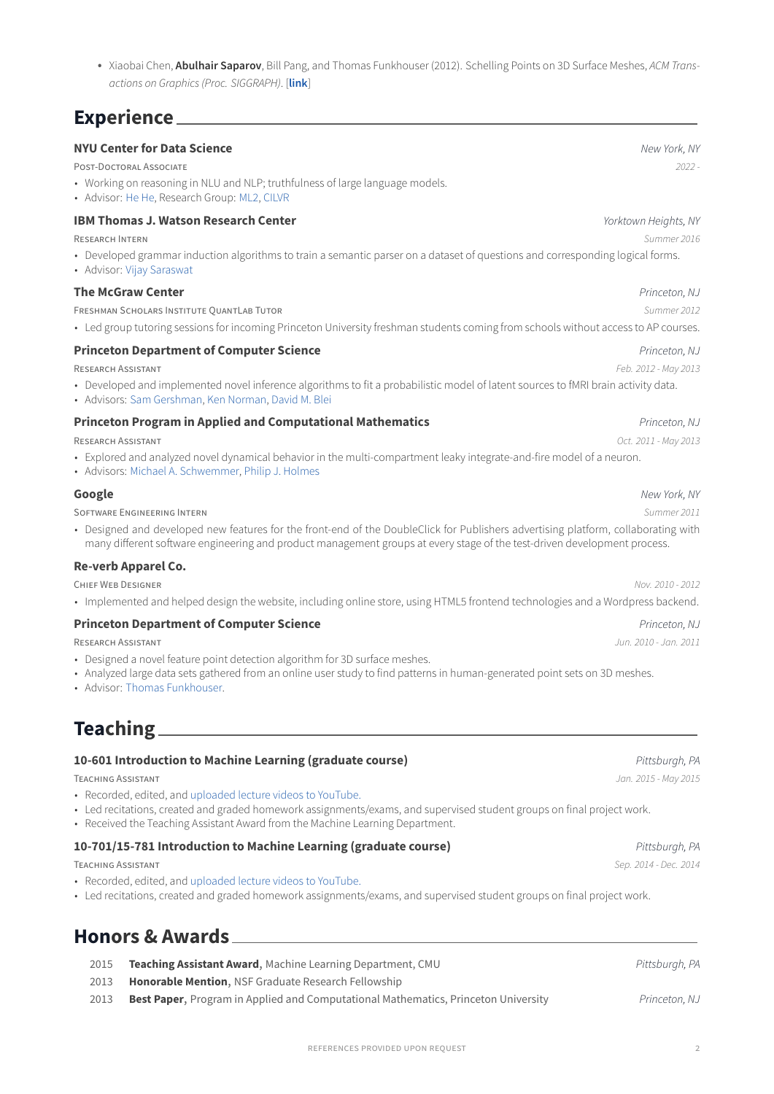• Xiaobai Chen, **Abulhair Saparov**, Bill Pang, and Thomas Funkhouser (2012). Schelling Points on 3D Surface Meshes, ACM Transactions on Graphics (Proc. SIGGRAPH). [**[link](http://gfx.cs.princeton.edu/pubs/Chen_2012_SPO/paper.pdf)**]

### **Experience**

| <b>NYU Center for Data Science</b>                                                                                                                                                                                                                             | New York, NY          |
|----------------------------------------------------------------------------------------------------------------------------------------------------------------------------------------------------------------------------------------------------------------|-----------------------|
| POST-DOCTORAL ASSOCIATE                                                                                                                                                                                                                                        | $2022 -$              |
| • Working on reasoning in NLU and NLP; truthfulness of large language models.<br>• Advisor: He He, Research Group: ML2, CILVR                                                                                                                                  |                       |
| <b>IBM Thomas J. Watson Research Center</b>                                                                                                                                                                                                                    | Yorktown Heights, NY  |
| <b>RESEARCH INTERN</b>                                                                                                                                                                                                                                         | Summer 2016           |
| • Developed grammar induction algorithms to train a semantic parser on a dataset of questions and corresponding logical forms.<br>• Advisor: Vijay Saraswat                                                                                                    |                       |
| <b>The McGraw Center</b>                                                                                                                                                                                                                                       | Princeton, NJ         |
| FRESHMAN SCHOLARS INSTITUTE QUANTLAB TUTOR                                                                                                                                                                                                                     | Summer 2012           |
| • Led group tutoring sessions for incoming Princeton University freshman students coming from schools without access to AP courses.                                                                                                                            |                       |
| <b>Princeton Department of Computer Science</b>                                                                                                                                                                                                                | Princeton, NJ         |
| <b>RESEARCH ASSISTANT</b>                                                                                                                                                                                                                                      | Feb. 2012 - May 2013  |
| • Developed and implemented novel inference algorithms to fit a probabilistic model of latent sources to fMRI brain activity data.<br>· Advisors: Sam Gershman, Ken Norman, David M. Blei                                                                      |                       |
| <b>Princeton Program in Applied and Computational Mathematics</b>                                                                                                                                                                                              | Princeton, NJ         |
| <b>RESEARCH ASSISTANT</b>                                                                                                                                                                                                                                      | Oct. 2011 - May 2013  |
| • Explored and analyzed novel dynamical behavior in the multi-compartment leaky integrate-and-fire model of a neuron.<br>• Advisors: Michael A. Schwemmer, Philip J. Holmes                                                                                    |                       |
| Google                                                                                                                                                                                                                                                         | New York, NY          |
| <b>SOFTWARE ENGINEERING INTERN</b>                                                                                                                                                                                                                             | Summer 2011           |
| • Designed and developed new features for the front-end of the DoubleClick for Publishers advertising platform, collaborating with<br>many different software engineering and product management groups at every stage of the test-driven development process. |                       |
| Re-verb Apparel Co.                                                                                                                                                                                                                                            |                       |
| <b>CHIEF WEB DESIGNER</b>                                                                                                                                                                                                                                      | Nov. 2010 - 2012      |
| • Implemented and helped design the website, including online store, using HTML5 frontend technologies and a Wordpress backend.                                                                                                                                |                       |
| <b>Princeton Department of Computer Science</b>                                                                                                                                                                                                                | Princeton, NJ         |
| <b>RESEARCH ASSISTANT</b>                                                                                                                                                                                                                                      | Jun. 2010 - Jan. 2011 |
| • Designed a novel feature point detection algorithm for 3D surface meshes.<br>• Analyzed large data sets gathered from an online user study to find patterns in human-generated point sets on 3D meshes.<br>• Advisor: Thomas Funkhouser.                     |                       |
|                                                                                                                                                                                                                                                                |                       |

**Teaching**

#### **10-601 Introduction to Machine Learning (graduate course) Parameters and Security Parameters Pittsburgh, PA**

TEACHING ASSISTANT Jan. 2015 - May 2015

- Recorded, edited, and [uploaded lecture videos to YouTube.](https://www.youtube.com/channel/UC3IXpkDpzturFkkvGJ-HeMg/videos)
- Led recitations, created and graded homework assignments/exams, and supervised student groups on final project work.
- Received the Teaching Assistant Award from the Machine Learning Department.

### **10-701/15-781 Introduction to Machine Learning (graduate course) Pittsburgh, PA** Pittsburgh, PA

TEACHING ASSISTANT Sep. 2014 - Dec. 2014

- Recorded, edited, and [uploaded lecture videos to YouTube.](https://www.youtube.com/channel/UC3IXpkDpzturFkkvGJ-HeMg/videos)
- Led recitations, created and graded homework assignments/exams, and supervised student groups on final project work.

## **Honors & Awards**

- 2015 **Teaching Assistant Award**, Machine Learning Department, CMU **Property Account Account Assistant Award**, PA
- 2013 **Honorable Mention**, NSF Graduate Research Fellowship
- 2013 **Best Paper**, Program in Applied and Computational Mathematics, Princeton University Princeton, NJ